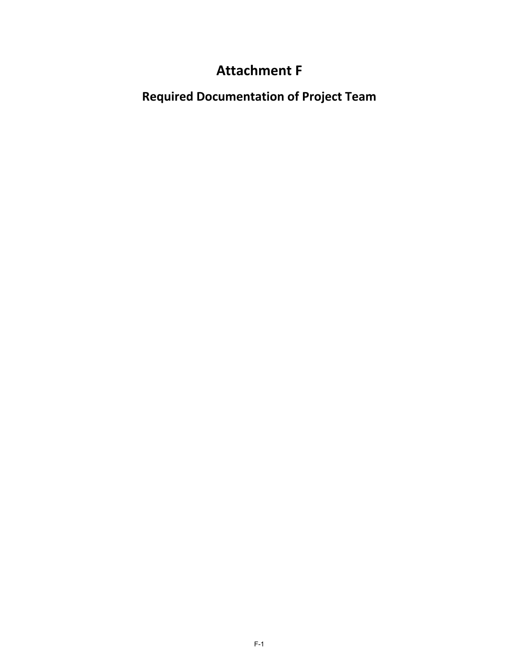## **Attachment F**

**Required Documentation of Project Team**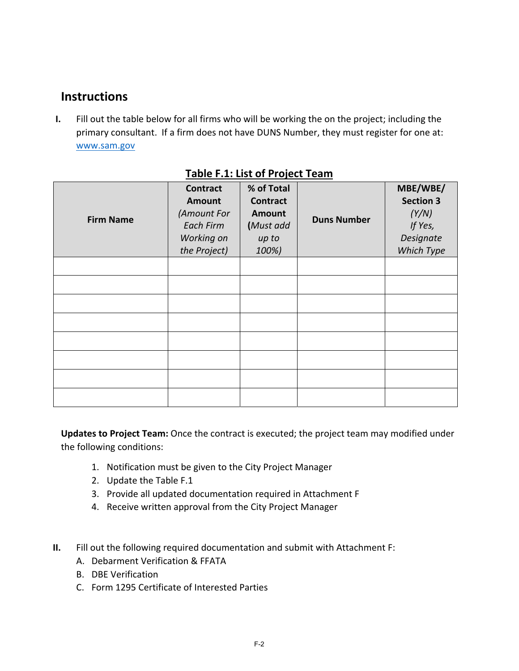## **Instructions**

**I.** Fill out the table below for all firms who will be working the on the project; including the primary consultant. If a firm does not have DUNS Number, they must register for one at: www.sam.gov

| <b>Firm Name</b> | <b>Contract</b><br><b>Amount</b><br>(Amount For<br><b>Each Firm</b><br>Working on<br>the Project) | % of Total<br><b>Contract</b><br><b>Amount</b><br>(Must add<br>up to<br>100%) | <b>Duns Number</b> | MBE/WBE/<br><b>Section 3</b><br>(Y/N)<br>If Yes,<br>Designate<br>Which Type |
|------------------|---------------------------------------------------------------------------------------------------|-------------------------------------------------------------------------------|--------------------|-----------------------------------------------------------------------------|
|                  |                                                                                                   |                                                                               |                    |                                                                             |
|                  |                                                                                                   |                                                                               |                    |                                                                             |
|                  |                                                                                                   |                                                                               |                    |                                                                             |
|                  |                                                                                                   |                                                                               |                    |                                                                             |
|                  |                                                                                                   |                                                                               |                    |                                                                             |
|                  |                                                                                                   |                                                                               |                    |                                                                             |
|                  |                                                                                                   |                                                                               |                    |                                                                             |
|                  |                                                                                                   |                                                                               |                    |                                                                             |

### **Table F.1: List of Project Team**

**Updates to Project Team:** Once the contract is executed; the project team may modified under the following conditions:

- 1. Notification must be given to the City Project Manager
- 2. Update the Table F.1
- 3. Provide all updated documentation required in Attachment F
- 4. Receive written approval from the City Project Manager
- **II.** Fill out the following required documentation and submit with Attachment F:
	- A. Debarment Verification & FFATA
	- B. DBE Verification
	- C. Form 1295 Certificate of Interested Parties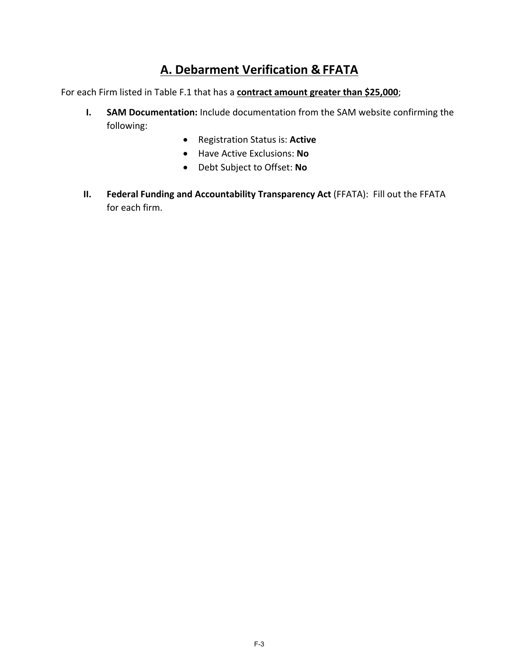## **A. Debarment Verification & FFATA**

For each Firm listed in Table F.1 that has a **contract amount greater than \$25,000**;

- **I. SAM Documentation:** Include documentation from the SAM website confirming the following:
	- Registration Status is: **Active**
	- Have Active Exclusions: **No**
	- Debt Subject to Offset: **No**
- **II. Federal Funding and Accountability Transparency Act** (FFATA): Fill out the FFATA for each firm.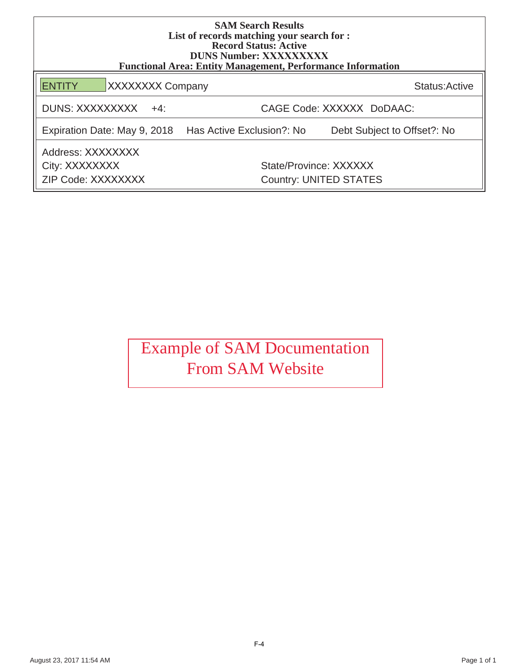| <b>SAM Search Results</b><br>List of records matching your search for :<br><b>Record Status: Active</b><br><b>DUNS Number: XXXXXXXXX</b><br><b>Functional Area: Entity Management, Performance Information</b> |                           |                                                         |  |  |  |  |
|----------------------------------------------------------------------------------------------------------------------------------------------------------------------------------------------------------------|---------------------------|---------------------------------------------------------|--|--|--|--|
| <b>XXXXXXXX Company</b><br><b>ENTITY</b>                                                                                                                                                                       |                           | Status: Active                                          |  |  |  |  |
| DUNS: XXXXXXXXX<br>$+4$ :                                                                                                                                                                                      | CAGE Code: XXXXXX DoDAAC: |                                                         |  |  |  |  |
| Expiration Date: May 9, 2018 Has Active Exclusion?: No                                                                                                                                                         |                           | Debt Subject to Offset?: No                             |  |  |  |  |
| Address: XXXXXXXX<br>City: XXXXXXXX<br>ZIP Code: XXXXXXXX                                                                                                                                                      |                           | State/Province: XXXXXX<br><b>Country: UNITED STATES</b> |  |  |  |  |

# Example of SAM Documentation From SAM Website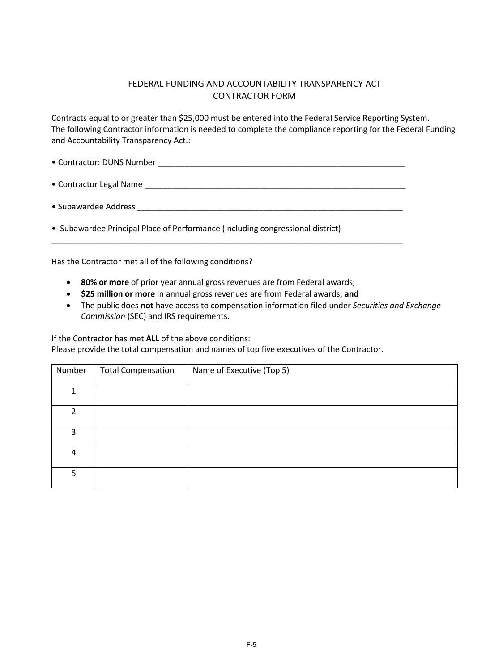#### FEDERAL FUNDING AND ACCOUNTABILITY TRANSPARENCY ACT CONTRACTOR FORM

Contracts equal to or greater than \$25,000 must be entered into the Federal Service Reporting System. The following Contractor information is needed to complete the compliance reporting for the Federal Funding and Accountability Transparency Act.:

- Contractor: DUNS Number **Letter and Security 10**
- Contractor Legal Name
- Subawardee Address \_\_\_\_\_\_\_\_\_\_\_\_\_\_\_\_\_\_\_\_\_\_\_\_\_\_\_\_\_\_\_\_\_\_\_\_\_\_\_\_\_\_\_\_\_\_\_\_\_\_\_\_\_\_\_\_\_\_\_

\_\_\_\_\_\_\_\_\_\_\_\_\_\_\_\_\_\_\_\_\_\_\_\_\_\_\_\_\_\_\_\_\_\_\_\_\_\_\_\_\_\_\_\_\_\_\_\_\_\_\_\_\_\_\_\_\_\_\_\_\_\_\_\_\_\_\_\_\_\_\_\_\_\_\_\_\_\_

• Subawardee Principal Place of Performance (including congressional district)

Has the Contractor met all of the following conditions?

- **80% or more** of prior year annual gross revenues are from Federal awards;
- **\$25 million or more** in annual gross revenues are from Federal awards; **and**
- The public does **not** have access to compensation information filed under *Securities and Exchange Commission* (SEC) and IRS requirements.

If the Contractor has met **ALL** of the above conditions:

Please provide the total compensation and names of top five executives of the Contractor.

| Number        | <b>Total Compensation</b> | Name of Executive (Top 5) |
|---------------|---------------------------|---------------------------|
|               |                           |                           |
| $\mathcal{P}$ |                           |                           |
| ς             |                           |                           |
| 4             |                           |                           |
| 5             |                           |                           |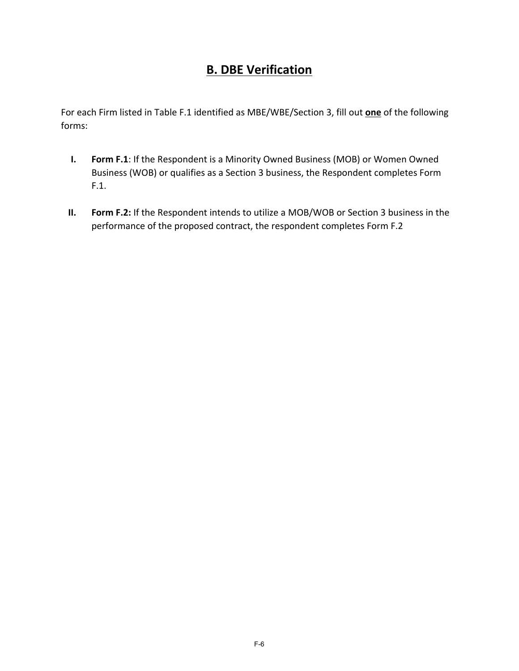## **B. DBE Verification**

For each Firm listed in Table F.1 identified as MBE/WBE/Section 3, fill out **one** of the following forms:

- **I. Form F.1**: If the Respondent is a Minority Owned Business (MOB) or Women Owned Business (WOB) or qualifies as a Section 3 business, the Respondent completes Form F.1.
- **II. Form F.2:** If the Respondent intends to utilize a MOB/WOB or Section 3 business in the performance of the proposed contract, the respondent completes Form F.2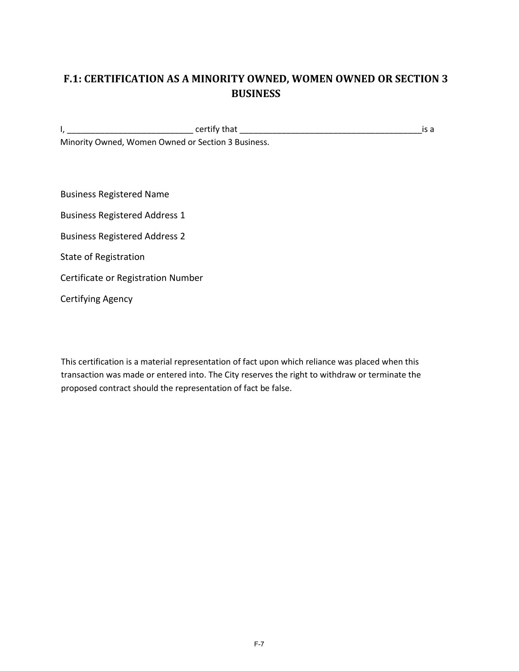## **F.1: CERTIFICATION AS A MINORITY OWNED, WOMEN OWNED OR SECTION 3 BUSINESS**

I, \_\_\_\_\_\_\_\_\_\_\_\_\_\_\_\_\_\_\_\_\_\_\_\_\_\_\_ certify that \_\_\_\_\_\_\_\_\_\_\_\_\_\_\_\_\_\_\_\_\_\_\_\_\_\_\_\_\_\_\_\_\_\_\_\_\_\_\_is a Minority Owned, Women Owned or Section 3 Business.

Business Registered Name

Business Registered Address 1

Business Registered Address 2

State of Registration

Certificate or Registration Number

Certifying Agency

This certification is a material representation of fact upon which reliance was placed when this transaction was made or entered into. The City reserves the right to withdraw or terminate the proposed contract should the representation of fact be false.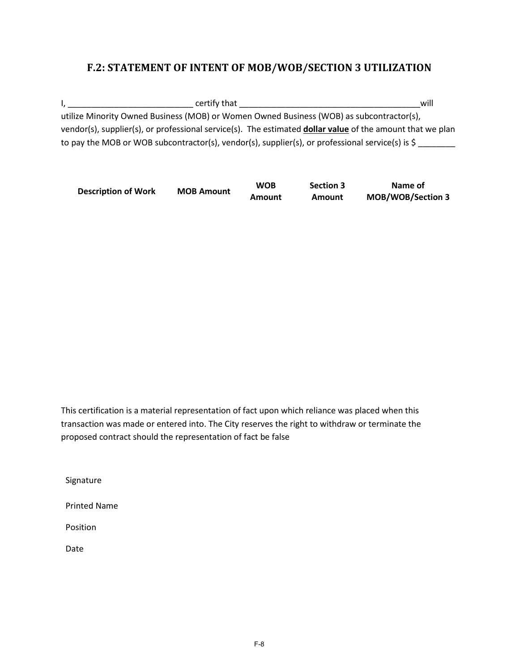#### **F.2: STATEMENT OF INTENT OF MOB/WOB/SECTION 3 UTILIZATION**

I, \_\_\_\_\_\_\_\_\_\_\_\_\_\_\_\_\_\_\_\_\_\_\_\_\_\_\_ certify that \_\_\_\_\_\_\_\_\_\_\_\_\_\_\_\_\_\_\_\_\_\_\_\_\_\_\_\_\_\_\_\_\_\_\_\_\_\_\_will utilize Minority Owned Business (MOB) or Women Owned Business (WOB) as subcontractor(s), vendor(s), supplier(s), or professional service(s). The estimated **dollar value** of the amount that we plan to pay the MOB or WOB subcontractor(s), vendor(s), supplier(s), or professional service(s) is \$

| <b>Description of Work</b> | <b>MOB Amount</b> | <b>WOB</b> | <b>Section 3</b> | Name of                  |
|----------------------------|-------------------|------------|------------------|--------------------------|
|                            |                   | Amount     | Amount           | <b>MOB/WOB/Section 3</b> |

This certification is a material representation of fact upon which reliance was placed when this transaction was made or entered into. The City reserves the right to withdraw or terminate the proposed contract should the representation of fact be false

Signature

Printed Name

Position

Date